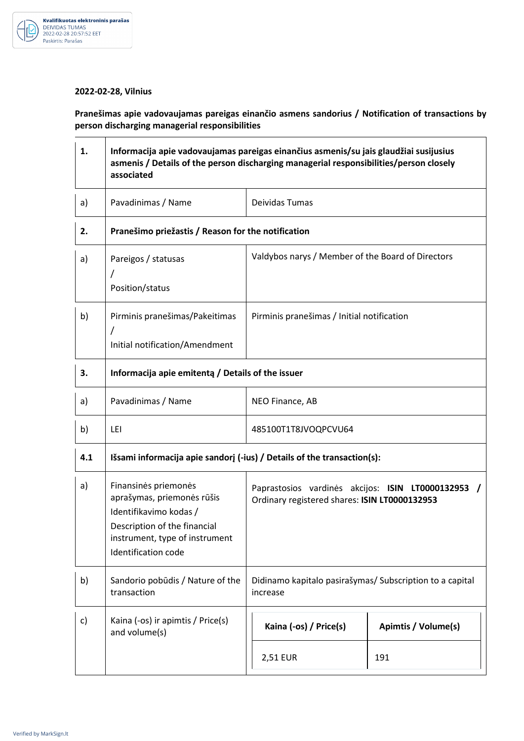

## **2022-02-28, Vilnius**

**Pranešimas apie vadovaujamas pareigas einančio asmens sandorius / Notification of transactions by person discharging managerial responsibilities** 

| 1.  | Informacija apie vadovaujamas pareigas einančius asmenis/su jais glaudžiai susijusius<br>asmenis / Details of the person discharging managerial responsibilities/person closely<br>associated |                                                                                                     |                     |
|-----|-----------------------------------------------------------------------------------------------------------------------------------------------------------------------------------------------|-----------------------------------------------------------------------------------------------------|---------------------|
| a)  | Pavadinimas / Name                                                                                                                                                                            | Deividas Tumas                                                                                      |                     |
| 2.  | Pranešimo priežastis / Reason for the notification                                                                                                                                            |                                                                                                     |                     |
| a)  | Pareigos / statusas<br>Position/status                                                                                                                                                        | Valdybos narys / Member of the Board of Directors                                                   |                     |
| b)  | Pirminis pranešimas/Pakeitimas<br>Initial notification/Amendment                                                                                                                              | Pirminis pranešimas / Initial notification                                                          |                     |
| 3.  | Informacija apie emitenta / Details of the issuer                                                                                                                                             |                                                                                                     |                     |
| a)  | Pavadinimas / Name                                                                                                                                                                            | NEO Finance, AB                                                                                     |                     |
| b)  | LEI                                                                                                                                                                                           | 485100T1T8JVOQPCVU64                                                                                |                     |
| 4.1 | Išsami informacija apie sandorį (-ius) / Details of the transaction(s):                                                                                                                       |                                                                                                     |                     |
| a)  | Finansinės priemonės<br>aprašymas, priemonės rūšis<br>Identifikavimo kodas /<br>Description of the financial<br>instrument, type of instrument<br>Identification code                         | Paprastosios vardinės akcijos: ISIN LT0000132953 /<br>Ordinary registered shares: ISIN LT0000132953 |                     |
| b)  | Sandorio pobūdis / Nature of the<br>transaction                                                                                                                                               | Didinamo kapitalo pasirašymas/ Subscription to a capital<br>increase                                |                     |
| c)  | Kaina (-os) ir apimtis / Price(s)<br>and volume(s)                                                                                                                                            | Kaina (-os) / Price(s)                                                                              | Apimtis / Volume(s) |
|     |                                                                                                                                                                                               | 2,51 EUR                                                                                            | 191                 |